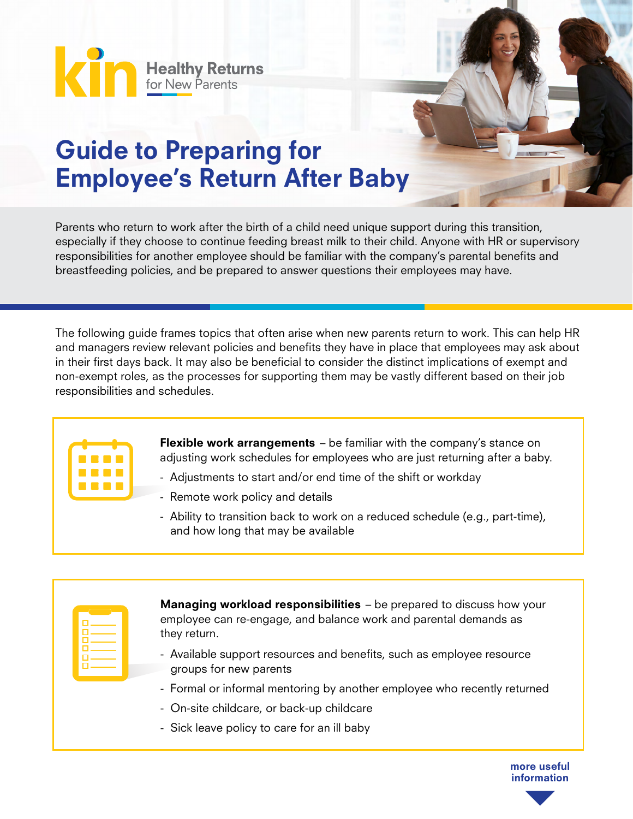**King Healthy Returns** 

## Guide to Preparing for Employee's Return After Baby

Parents who return to work after the birth of a child need unique support during this transition, especially if they choose to continue feeding breast milk to their child. Anyone with HR or supervisory responsibilities for another employee should be familiar with the company's parental benefits and breastfeeding policies, and be prepared to answer questions their employees may have.

The following guide frames topics that often arise when new parents return to work. This can help HR and managers review relevant policies and benefits they have in place that employees may ask about in their first days back. It may also be beneficial to consider the distinct implications of exempt and non-exempt roles, as the processes for supporting them may be vastly different based on their job responsibilities and schedules.



Flexible work arrangements - be familiar with the company's stance on adjusting work schedules for employees who are just returning after a baby.

- Adjustments to start and/or end time of the shift or workday
- Remote work policy and details
- Ability to transition back to work on a reduced schedule (e.g., part-time), and how long that may be available

| α.<br>□— |  |
|----------|--|
| g        |  |
| □—<br>n  |  |
| п        |  |

**Managing workload responsibilities** – be prepared to discuss how your employee can re-engage, and balance work and parental demands as they return.

- Available support resources and benefits, such as employee resource groups for new parents
- Formal or informal mentoring by another employee who recently returned
- On-site childcare, or back-up childcare
- Sick leave policy to care for an ill baby

more useful information